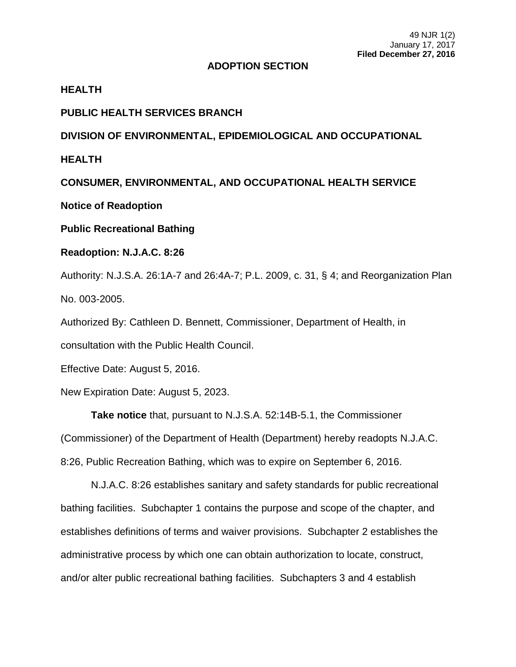## **ADOPTION SECTION**

**HEALTH**

**PUBLIC HEALTH SERVICES BRANCH**

**DIVISION OF ENVIRONMENTAL, EPIDEMIOLOGICAL AND OCCUPATIONAL** 

**HEALTH**

**CONSUMER, ENVIRONMENTAL, AND OCCUPATIONAL HEALTH SERVICE**

**Notice of Readoption**

**Public Recreational Bathing**

**Readoption: N.J.A.C. 8:26**

Authority: N.J.S.A. 26:1A-7 and 26:4A-7; P.L. 2009, c. 31, § 4; and Reorganization Plan No. 003-2005.

Authorized By: Cathleen D. Bennett, Commissioner, Department of Health, in

consultation with the Public Health Council.

Effective Date: August 5, 2016.

New Expiration Date: August 5, 2023.

**Take notice** that, pursuant to N.J.S.A. 52:14B-5.1, the Commissioner (Commissioner) of the Department of Health (Department) hereby readopts N.J.A.C. 8:26, Public Recreation Bathing, which was to expire on September 6, 2016.

N.J.A.C. 8:26 establishes sanitary and safety standards for public recreational bathing facilities. Subchapter 1 contains the purpose and scope of the chapter, and establishes definitions of terms and waiver provisions. Subchapter 2 establishes the administrative process by which one can obtain authorization to locate, construct, and/or alter public recreational bathing facilities. Subchapters 3 and 4 establish